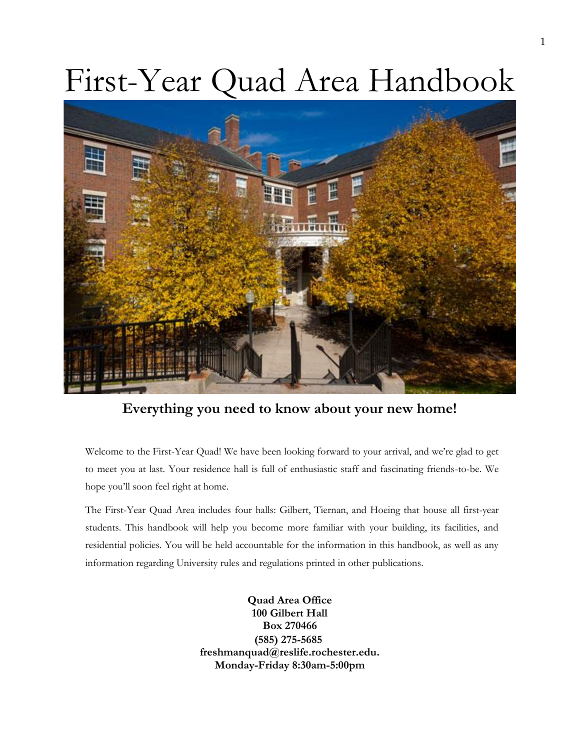# First-Year Quad Area Handbook



**Everything you need to know about your new home!**

Welcome to the First-Year Quad! We have been looking forward to your arrival, and we're glad to get to meet you at last. Your residence hall is full of enthusiastic staff and fascinating friends-to-be. We hope you'll soon feel right at home.

The First-Year Quad Area includes four halls: Gilbert, Tiernan, and Hoeing that house all first-year students. This handbook will help you become more familiar with your building, its facilities, and residential policies. You will be held accountable for the information in this handbook, as well as any information regarding University rules and regulations printed in other publications.

> **Quad Area Office 100 Gilbert Hall Box 270466 (585) 275-5685 [freshmanquad@reslife.rochester.edu.](mailto:freshmanquad@reslife.rochester.edu) Monday-Friday 8:30am-5:00pm**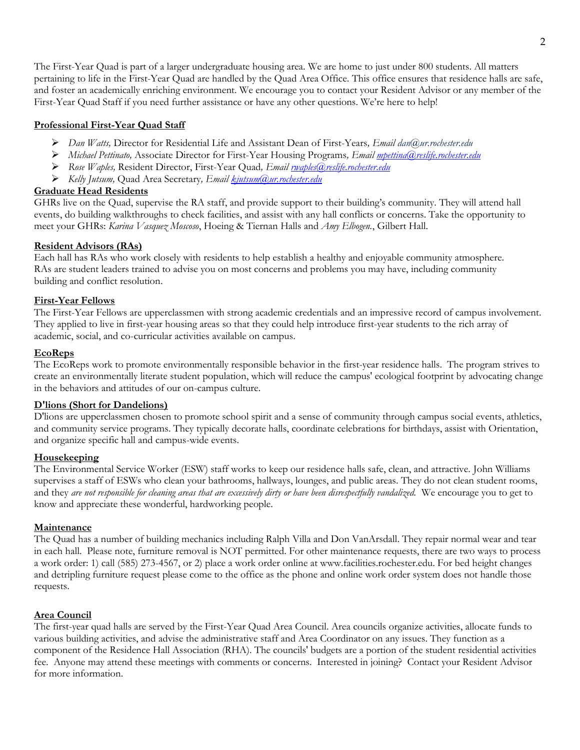The First-Year Quad is part of a larger undergraduate housing area. We are home to just under 800 students. All matters pertaining to life in the First-Year Quad are handled by the Quad Area Office. This office ensures that residence halls are safe, and foster an academically enriching environment. We encourage you to contact your Resident Advisor or any member of the First-Year Quad Staff if you need further assistance or have any other questions. We're here to help!

#### **Professional First-Year Quad Staff**

- ➢ *Dan Watts,* Director for Residential Life and Assistant Dean of First-Years*, Email [dan@ur.rochester.edu](mailto:dan@ur.rochester.edu)*
- ➢ *Michael Pettinato,* Associate Director for First-Year Housing Programs*, Email [mpettina@reslife.rochester.edu](mailto:mpettina@reslife.rochester.edu)*
- ➢ *Rose Waples,* Resident Director, First-Year Quad*, Email [rwaples@reslife.rochester.edu](mailto:rwaples@reslife.rochester.edu)*
- ➢ *Kelly Jutsum,* Quad Area Secretary*, Email [kjutsum@ur.rochester.edu](mailto:kjutsum@ur.rochester.edu)*

#### **Graduate Head Residents**

GHRs live on the Quad, supervise the RA staff, and provide support to their building's community. They will attend hall events, do building walkthroughs to check facilities, and assist with any hall conflicts or concerns. Take the opportunity to meet your GHRs: *Karina Vasquez Moscoso*, Hoeing & Tiernan Halls and *Amy Elbogen.*, Gilbert Hall.

#### **Resident Advisors (RAs)**

Each hall has RAs who work closely with residents to help establish a healthy and enjoyable community atmosphere. RAs are student leaders trained to advise you on most concerns and problems you may have, including community building and conflict resolution.

#### **First-Year Fellows**

The First-Year Fellows are upperclassmen with strong academic credentials and an impressive record of campus involvement. They applied to live in first-year housing areas so that they could help introduce first-year students to the rich array of academic, social, and co-curricular activities available on campus.

#### **EcoReps**

The EcoReps work to promote environmentally responsible behavior in the first-year residence halls. The program strives to create an environmentally literate student population, which will reduce the campus' ecological footprint by advocating change in the behaviors and attitudes of our on-campus culture.

#### **D'lions (Short for Dandelions)**

D'lions are upperclassmen chosen to promote school spirit and a sense of community through campus social events, athletics, and community service programs. They typically decorate halls, coordinate celebrations for birthdays, assist with Orientation, and organize specific hall and campus-wide events.

#### **Housekeeping**

The Environmental Service Worker (ESW) staff works to keep our residence halls safe, clean, and attractive. John Williams supervises a staff of ESWs who clean your bathrooms, hallways, lounges, and public areas. They do not clean student rooms, and they *are not responsible for cleaning areas that are excessively dirty or have been disrespectfully vandalized.* We encourage you to get to know and appreciate these wonderful, hardworking people.

#### **Maintenance**

The Quad has a number of building mechanics including Ralph Villa and Don VanArsdall. They repair normal wear and tear in each hall. Please note, furniture removal is NOT permitted. For other maintenance requests, there are two ways to process a work order: 1) call (585) 273-4567, or 2) place a work order online at www.facilities.rochester.edu. For bed height changes and detripling furniture request please come to the office as the phone and online work order system does not handle those requests.

# **Area Council**

The first-year quad halls are served by the First-Year Quad Area Council. Area councils organize activities, allocate funds to various building activities, and advise the administrative staff and Area Coordinator on any issues. They function as a component of the Residence Hall Association (RHA). The councils' budgets are a portion of the student residential activities fee. Anyone may attend these meetings with comments or concerns. Interested in joining? Contact your Resident Advisor for more information.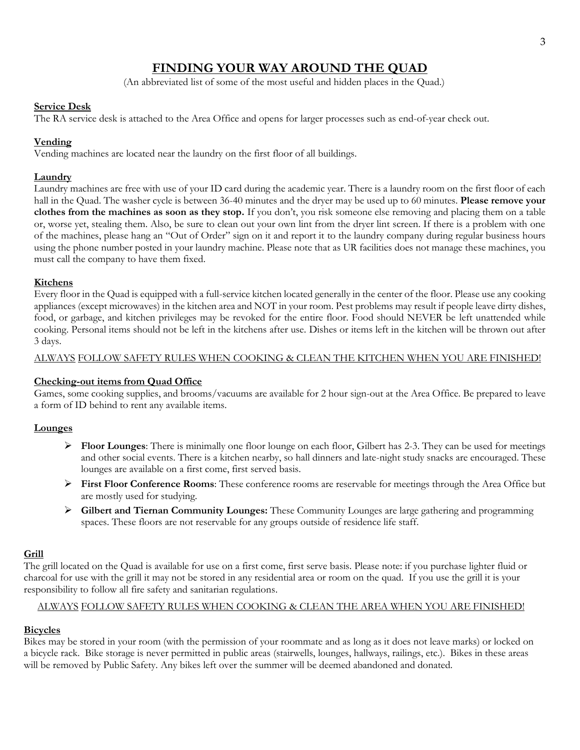# **FINDING YOUR WAY AROUND THE QUAD**

(An abbreviated list of some of the most useful and hidden places in the Quad.)

#### **Service Desk**

The RA service desk is attached to the Area Office and opens for larger processes such as end-of-year check out.

# **Vending**

Vending machines are located near the laundry on the first floor of all buildings.

# **Laundry**

Laundry machines are free with use of your ID card during the academic year. There is a laundry room on the first floor of each hall in the Quad. The washer cycle is between 36-40 minutes and the dryer may be used up to 60 minutes. **Please remove your clothes from the machines as soon as they stop.** If you don't, you risk someone else removing and placing them on a table or, worse yet, stealing them. Also, be sure to clean out your own lint from the dryer lint screen. If there is a problem with one of the machines, please hang an "Out of Order" sign on it and report it to the laundry company during regular business hours using the phone number posted in your laundry machine. Please note that as UR facilities does not manage these machines, you must call the company to have them fixed.

# **Kitchens**

Every floor in the Quad is equipped with a full-service kitchen located generally in the center of the floor. Please use any cooking appliances (except microwaves) in the kitchen area and NOT in your room. Pest problems may result if people leave dirty dishes, food, or garbage, and kitchen privileges may be revoked for the entire floor. Food should NEVER be left unattended while cooking. Personal items should not be left in the kitchens after use. Dishes or items left in the kitchen will be thrown out after 3 days.

#### ALWAYS FOLLOW SAFETY RULES WHEN COOKING & CLEAN THE KITCHEN WHEN YOU ARE FINISHED!

# **Checking-out items from Quad Office**

Games, some cooking supplies, and brooms/vacuums are available for 2 hour sign-out at the Area Office. Be prepared to leave a form of ID behind to rent any available items.

# **Lounges**

- ➢ **Floor Lounges**: There is minimally one floor lounge on each floor, Gilbert has 2-3. They can be used for meetings and other social events. There is a kitchen nearby, so hall dinners and late-night study snacks are encouraged. These lounges are available on a first come, first served basis.
- ➢ **First Floor Conference Rooms**: These conference rooms are reservable for meetings through the Area Office but are mostly used for studying.
- ➢ **Gilbert and Tiernan Community Lounges:** These Community Lounges are large gathering and programming spaces. These floors are not reservable for any groups outside of residence life staff.

# **Grill**

The grill located on the Quad is available for use on a first come, first serve basis. Please note: if you purchase lighter fluid or charcoal for use with the grill it may not be stored in any residential area or room on the quad. If you use the grill it is your responsibility to follow all fire safety and sanitarian regulations.

#### ALWAYS FOLLOW SAFETY RULES WHEN COOKING & CLEAN THE AREA WHEN YOU ARE FINISHED!

# **Bicycles**

Bikes may be stored in your room (with the permission of your roommate and as long as it does not leave marks) or locked on a bicycle rack. Bike storage is never permitted in public areas (stairwells, lounges, hallways, railings, etc.). Bikes in these areas will be removed by Public Safety. Any bikes left over the summer will be deemed abandoned and donated.